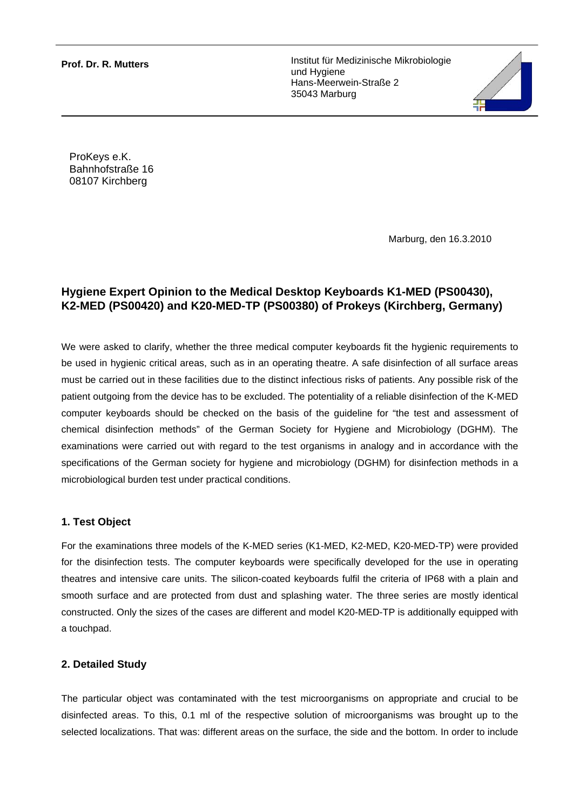**Prof. Dr. R. Mutters** 

Institut für Medizinische Mikrobiologie und Hygiene Hans-Meerwein-Straße 2 35043 Marburg



ProKeys e.K. Bahnhofstraße 16 08107 Kirchberg

Marburg, den 16.3.2010

# **Hygiene Expert Opinion to the Medical Desktop Keyboards K1-MED (PS00430), K2-MED (PS00420) and K20-MED-TP (PS00380) of Prokeys (Kirchberg, Germany)**

We were asked to clarify, whether the three medical computer keyboards fit the hygienic requirements to be used in hygienic critical areas, such as in an operating theatre. A safe disinfection of all surface areas must be carried out in these facilities due to the distinct infectious risks of patients. Any possible risk of the patient outgoing from the device has to be excluded. The potentiality of a reliable disinfection of the K-MED computer keyboards should be checked on the basis of the guideline for "the test and assessment of chemical disinfection methods" of the German Society for Hygiene and Microbiology (DGHM). The examinations were carried out with regard to the test organisms in analogy and in accordance with the specifications of the German society for hygiene and microbiology (DGHM) for disinfection methods in a microbiological burden test under practical conditions.

## **1. Test Object**

For the examinations three models of the K-MED series (K1-MED, K2-MED, K20-MED-TP) were provided for the disinfection tests. The computer keyboards were specifically developed for the use in operating theatres and intensive care units. The silicon-coated keyboards fulfil the criteria of IP68 with a plain and smooth surface and are protected from dust and splashing water. The three series are mostly identical constructed. Only the sizes of the cases are different and model K20-MED-TP is additionally equipped with a touchpad.

## **2. Detailed Study**

The particular object was contaminated with the test microorganisms on appropriate and crucial to be disinfected areas. To this, 0.1 ml of the respective solution of microorganisms was brought up to the selected localizations. That was: different areas on the surface, the side and the bottom. In order to include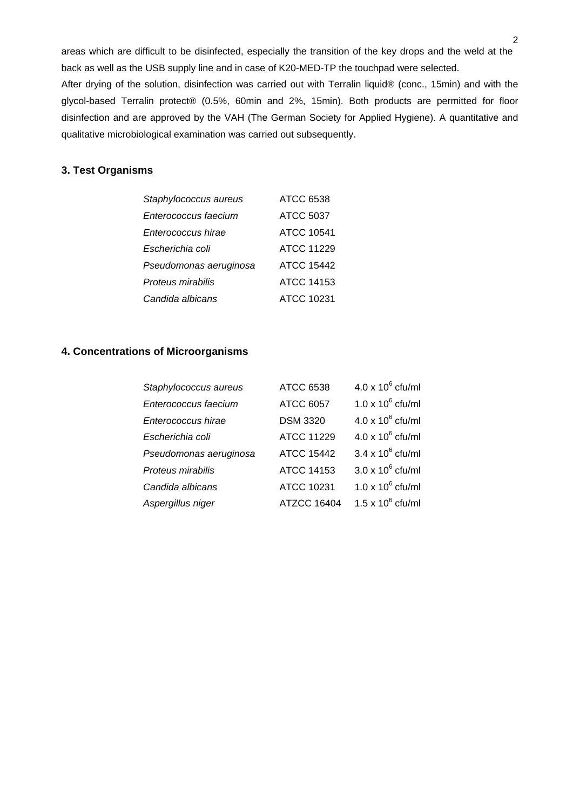areas which are difficult to be disinfected, especially the transition of the key drops and the weld at the back as well as the USB supply line and in case of K20-MED-TP the touchpad were selected. After drying of the solution, disinfection was carried out with Terralin liquid® (conc., 15min) and with the glycol-based Terralin protect® (0.5%, 60min and 2%, 15min). Both products are permitted for floor disinfection and are approved by the VAH (The German Society for Applied Hygiene). A quantitative and qualitative microbiological examination was carried out subsequently.

#### **3. Test Organisms**

| Staphylococcus aureus  | <b>ATCC 6538</b>  |
|------------------------|-------------------|
| Enterococcus faecium   | <b>ATCC 5037</b>  |
| Enterococcus hirae     | <b>ATCC 10541</b> |
| Escherichia coli       | ATCC 11229        |
| Pseudomonas aeruginosa | <b>ATCC 15442</b> |
| Proteus mirabilis      | <b>ATCC 14153</b> |
| Candida albicans       | ATCC 10231        |

#### **4. Concentrations of Microorganisms**

| Staphylococcus aureus  | <b>ATCC 6538</b>   | $4.0 \times 10^6$ cfu/ml |
|------------------------|--------------------|--------------------------|
| Enterococcus faecium   | <b>ATCC 6057</b>   | $1.0 \times 10^6$ cfu/ml |
| Enterococcus hirae     | <b>DSM 3320</b>    | $4.0 \times 10^6$ cfu/ml |
| Escherichia coli       | <b>ATCC 11229</b>  | $4.0 \times 10^6$ cfu/ml |
| Pseudomonas aeruginosa | <b>ATCC 15442</b>  | $3.4 \times 10^6$ cfu/ml |
| Proteus mirabilis      | <b>ATCC 14153</b>  | $3.0 \times 10^6$ cfu/ml |
| Candida albicans       | ATCC 10231         | $1.0 \times 10^6$ cfu/ml |
| Aspergillus niger      | <b>ATZCC 16404</b> | $1.5 \times 10^6$ cfu/ml |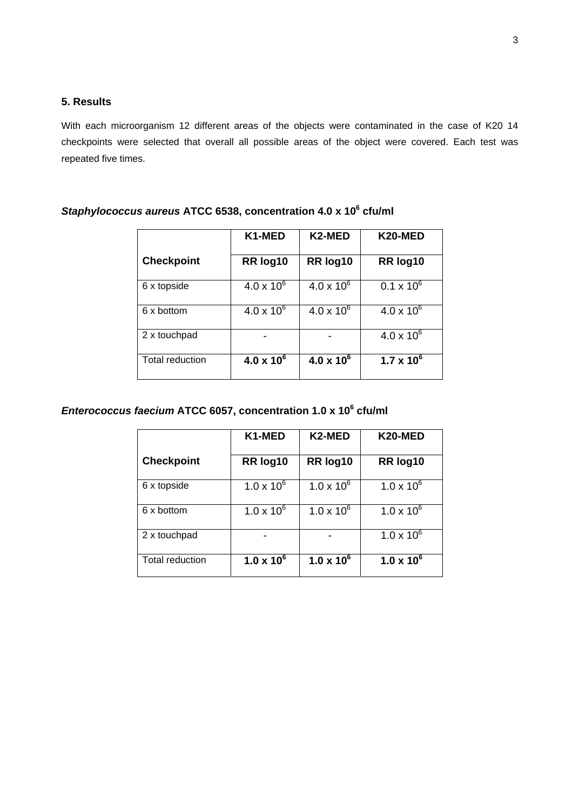# **5. Results**

With each microorganism 12 different areas of the objects were contaminated in the case of K20 14 checkpoints were selected that overall all possible areas of the object were covered. Each test was repeated five times.

|                        | K1-MED              | K2-MED              | K20-MED             |
|------------------------|---------------------|---------------------|---------------------|
| <b>Checkpoint</b>      | RR log10            | RR log10            | RR log10            |
| 6 x topside            | $4.0 \times 10^{6}$ | $4.0 \times 10^{6}$ | $0.1 \times 10^{6}$ |
| 6 x bottom             | $4.0 \times 10^{6}$ | $4.0 \times 10^{6}$ | $4.0 \times 10^{6}$ |
| 2 x touchpad           |                     |                     | $4.0 \times 10^{6}$ |
| <b>Total reduction</b> | $4.0 \times 10^{6}$ | $4.0 \times 10^{6}$ | $1.7 \times 10^{6}$ |

#### *Staphylococcus aureus* **ATCC 6538, concentration 4.0 x 10<sup>6</sup> cfu/ml**

#### *Enterococcus faecium* **ATCC 6057, concentration 1.0 x 10<sup>6</sup> cfu/ml**

|                        | K1-MED              | K2-MED              | K20-MED             |
|------------------------|---------------------|---------------------|---------------------|
| <b>Checkpoint</b>      | RR log10            | RR log10            | RR log10            |
| 6 x topside            | $1.0 \times 10^{6}$ | $1.0 \times 10^{6}$ | $1.0 \times 10^{6}$ |
| 6 x bottom             | $1.0 \times 10^{6}$ | $1.0 \times 10^{6}$ | $1.0 \times 10^{6}$ |
| 2 x touchpad           |                     |                     | $1.0 \times 10^{6}$ |
| <b>Total reduction</b> | $1.0 \times 10^{6}$ | $1.0 \times 10^{6}$ | $1.0 \times 10^{6}$ |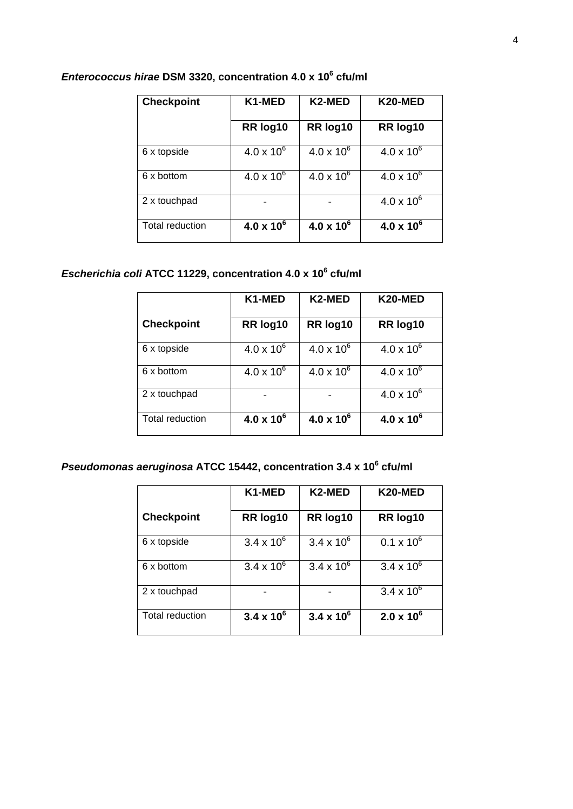| <b>Checkpoint</b>      | K1-MED              | K2-MED              | K20-MED             |
|------------------------|---------------------|---------------------|---------------------|
|                        | RR log10            | RR log10            | RR log10            |
| 6 x topside            | $4.0 \times 10^{6}$ | $4.0 \times 10^{6}$ | $4.0 \times 10^{6}$ |
| 6 x bottom             | $4.0 \times 10^{6}$ | $4.0 \times 10^{6}$ | $4.0 \times 10^{6}$ |
| 2 x touchpad           |                     |                     | $4.0 \times 10^{6}$ |
| <b>Total reduction</b> | $4.0 \times 10^{6}$ | $4.0 \times 10^{6}$ | $4.0 \times 10^{6}$ |

### *Enterococcus hirae* **DSM 3320, concentration 4.0 x 10<sup>6</sup> cfu/ml**

#### *Escherichia coli* **ATCC 11229, concentration 4.0 x 10<sup>6</sup> cfu/ml**

|                        | K1-MED              | K2-MED              | K20-MED             |
|------------------------|---------------------|---------------------|---------------------|
| <b>Checkpoint</b>      | RR log10            | RR log10            | RR log10            |
| 6 x topside            | $4.0 \times 10^{6}$ | $4.0 \times 10^{6}$ | $4.0 \times 10^{6}$ |
| 6 x bottom             | $4.0 \times 10^{6}$ | $4.0 \times 10^{6}$ | $4.0 \times 10^{6}$ |
| 2 x touchpad           |                     |                     | $4.0 \times 10^{6}$ |
| <b>Total reduction</b> | $4.0 \times 10^{6}$ | $4.0 \times 10^{6}$ | $4.0 \times 10^{6}$ |

#### *Pseudomonas aeruginosa* **ATCC 15442, concentration 3.4 x 10<sup>6</sup> cfu/ml**

|                        | K1-MED              | K <sub>2</sub> -MED | K20-MED             |
|------------------------|---------------------|---------------------|---------------------|
| <b>Checkpoint</b>      | RR log10            | RR log10            | RR log10            |
| 6 x topside            | $3.4 \times 10^{6}$ | $3.4 \times 10^{6}$ | $0.1 \times 10^{6}$ |
| 6 x bottom             | $3.4 \times 10^{6}$ | $3.4 \times 10^{6}$ | $3.4 \times 10^{6}$ |
| 2 x touchpad           |                     |                     | $3.4 \times 10^{6}$ |
| <b>Total reduction</b> | $3.4 \times 10^{6}$ | $3.4 \times 10^{6}$ | $2.0 \times 10^{6}$ |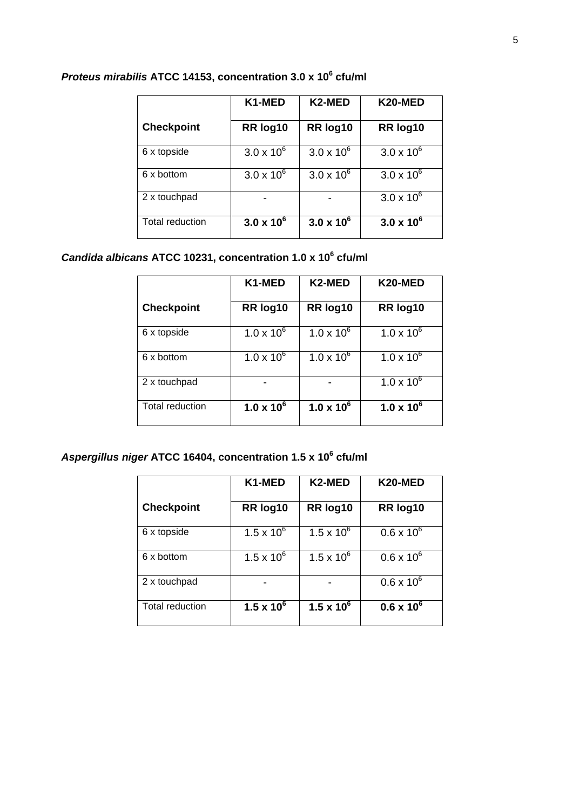|                        | K1-MED              | K2-MED              | K20-MED             |
|------------------------|---------------------|---------------------|---------------------|
| <b>Checkpoint</b>      | RR log10            | RR log10            | RR log10            |
| 6 x topside            | $3.0 \times 10^{6}$ | $3.0 \times 10^{6}$ | $3.0 \times 10^{6}$ |
| 6 x bottom             | $3.0 \times 10^{6}$ | $3.0 \times 10^{6}$ | $3.0 \times 10^{6}$ |
| 2 x touchpad           |                     |                     | $3.0 \times 10^{6}$ |
| <b>Total reduction</b> | $3.0 \times 10^{6}$ | $3.0 \times 10^{6}$ | $3.0 \times 10^{6}$ |

# *Proteus mirabilis* **ATCC 14153, concentration 3.0 x 10<sup>6</sup> cfu/ml**

# *Candida albicans* **ATCC 10231, concentration 1.0 x 10<sup>6</sup> cfu/ml**

|                        | K1-MED              | K2-MED              | K20-MED             |
|------------------------|---------------------|---------------------|---------------------|
| <b>Checkpoint</b>      | RR log10            | RR log10            | RR log10            |
| 6 x topside            | $1.0 \times 10^{6}$ | $1.0 \times 10^{6}$ | $1.0 \times 10^{6}$ |
| 6 x bottom             | $1.0 \times 10^{6}$ | $1.0 \times 10^{6}$ | $1.0 \times 10^{6}$ |
| 2 x touchpad           |                     |                     | $1.0 \times 10^{6}$ |
| <b>Total reduction</b> | $1.0 \times 10^{6}$ | $1.0 \times 10^{6}$ | $1.0 \times 10^{6}$ |

## *Aspergillus niger* **ATCC 16404, concentration 1.5 x 10<sup>6</sup> cfu/ml**

|                        | K1-MED              | K2-MED              | K20-MED             |
|------------------------|---------------------|---------------------|---------------------|
| <b>Checkpoint</b>      | RR log10            | RR log10            | RR log10            |
| 6 x topside            | $1.5 \times 10^{6}$ | $1.5 \times 10^{6}$ | $0.6 \times 10^{6}$ |
| 6 x bottom             | $1.5 \times 10^{6}$ | $1.5 \times 10^{6}$ | $0.6 \times 10^{6}$ |
| 2 x touchpad           |                     |                     | $0.6 \times 10^{6}$ |
| <b>Total reduction</b> | $1.5 \times 10^{6}$ | $1.5 \times 10^{6}$ | $0.6 \times 10^{6}$ |